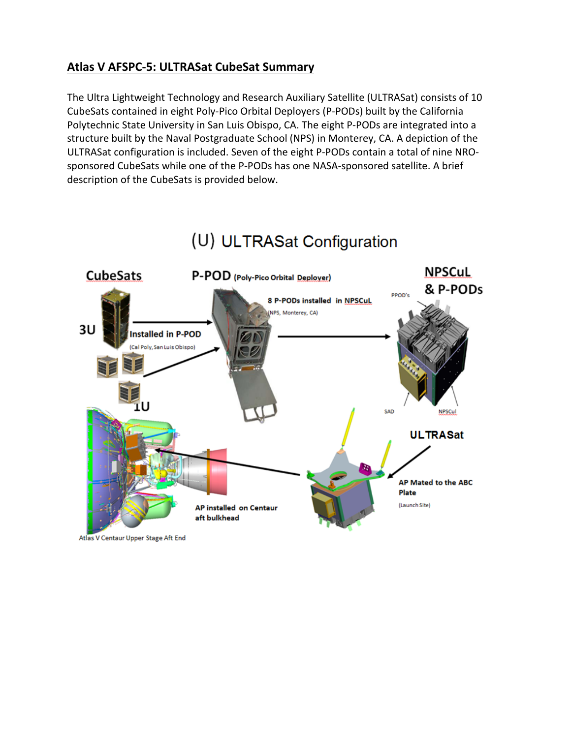# **Atlas V AFSPC-5: ULTRASat CubeSat Summary**

The Ultra Lightweight Technology and Research Auxiliary Satellite (ULTRASat) consists of 10 CubeSats contained in eight Poly-Pico Orbital Deployers (P-PODs) built by the California Polytechnic State University in San Luis Obispo, CA. The eight P-PODs are integrated into a structure built by the Naval Postgraduate School (NPS) in Monterey, CA. A depiction of the ULTRASat configuration is included. Seven of the eight P-PODs contain a total of nine NROsponsored CubeSats while one of the P-PODs has one NASA-sponsored satellite. A brief description of the CubeSats is provided below.



# (U) ULTRASat Configuration

Atlas V Centaur Upper Stage Aft End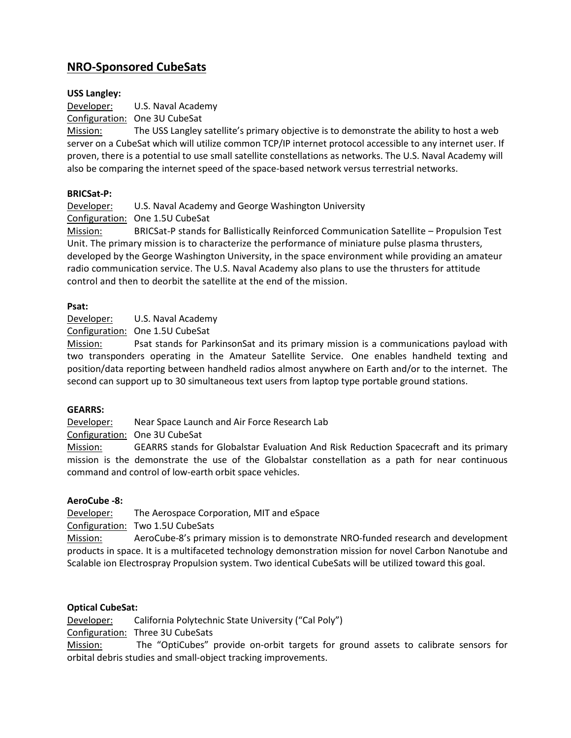# **NRO-Sponsored CubeSats**

### **USS Langley:**

Developer: U.S. Naval Academy

Configuration: One 3U CubeSat

Mission: The USS Langley satellite's primary objective is to demonstrate the ability to host a web server on a CubeSat which will utilize common TCP/IP internet protocol accessible to any internet user. If proven, there is a potential to use small satellite constellations as networks. The U.S. Naval Academy will also be comparing the internet speed of the space-based network versus terrestrial networks.

#### **BRICSat-P:**

Developer: U.S. Naval Academy and George Washington University

Configuration: One 1.5U CubeSat

Mission: BRICSat-P stands for Ballistically Reinforced Communication Satellite – Propulsion Test Unit. The primary mission is to characterize the performance of miniature pulse plasma thrusters, developed by the George Washington University, in the space environment while providing an amateur radio communication service. The U.S. Naval Academy also plans to use the thrusters for attitude control and then to deorbit the satellite at the end of the mission.

#### **Psat:**

Developer: U.S. Naval Academy

Configuration: One 1.5U CubeSat

Mission: Psat stands for ParkinsonSat and its primary mission is a communications payload with two transponders operating in the Amateur Satellite Service. One enables handheld texting and position/data reporting between handheld radios almost anywhere on Earth and/or to the internet. The second can support up to 30 simultaneous text users from laptop type portable ground stations.

#### **GEARRS:**

Developer: Near Space Launch and Air Force Research Lab

Configuration: One 3U CubeSat

Mission: GEARRS stands for Globalstar Evaluation And Risk Reduction Spacecraft and its primary mission is the demonstrate the use of the Globalstar constellation as a path for near continuous command and control of low-earth orbit space vehicles.

#### **AeroCube -8:**

Developer: The Aerospace Corporation, MIT and eSpace

Configuration: Two 1.5U CubeSats

Mission: AeroCube-8's primary mission is to demonstrate NRO-funded research and development products in space. It is a multifaceted technology demonstration mission for novel Carbon Nanotube and Scalable ion Electrospray Propulsion system. Two identical CubeSats will be utilized toward this goal.

#### **Optical CubeSat:**

Developer: California Polytechnic State University ("Cal Poly")

Configuration: Three 3U CubeSats

Mission: The "OptiCubes" provide on-orbit targets for ground assets to calibrate sensors for orbital debris studies and small-object tracking improvements.